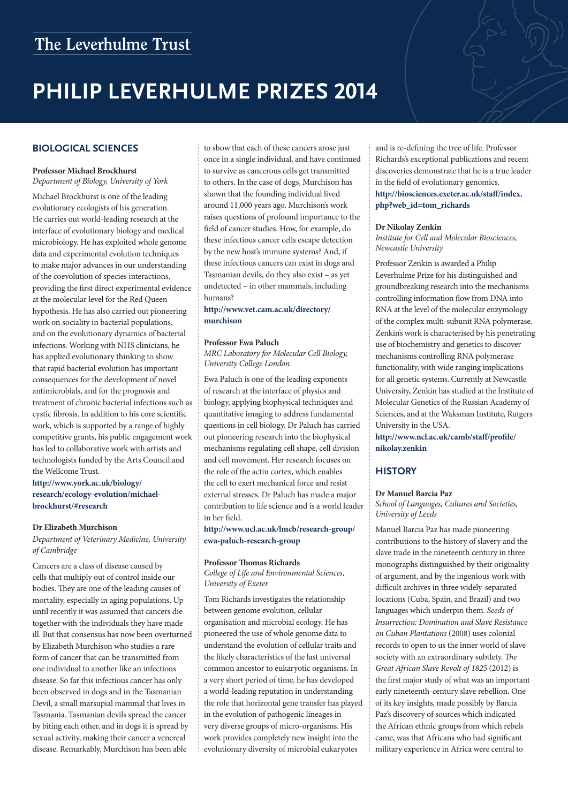## The Leverhulme Trust

# **PHILIP LEVERHULME PRIZES 2014**

## **BIOLOGICAL SCIENCES**

## **Professor Michael Brockhurst**

*Department of Biology, University of York*

Michael Brockhurst is one of the leading evolutionary ecologists of his generation. He carries out world-leading research at the interface of evolutionary biology and medical microbiology. He has exploited whole genome data and experimental evolution techniques to make major advances in our understanding of the coevolution of species interactions, providing the first direct experimental evidence at the molecular level for the Red Queen hypothesis. He has also carried out pioneering work on sociality in bacterial populations, and on the evolutionary dynamics of bacterial infections. Working with NHS clinicians, he has applied evolutionary thinking to show that rapid bacterial evolution has important consequences for the development of novel antimicrobials, and for the prognosis and treatment of chronic bacterial infections such as cystic fibrosis. In addition to his core scientific work, which is supported by a range of highly competitive grants, his public engagement work has led to collaborative work with artists and technologists funded by the Arts Council and the Wellcome Trust.

**[http://www.york.ac.uk/biology/](http://www.york.ac.uk/biology/research/ecology-evolution/michael-brockhurst/#research) [research/ecology-evolution/michael](http://www.york.ac.uk/biology/research/ecology-evolution/michael-brockhurst/#research)[brockhurst/#research](http://www.york.ac.uk/biology/research/ecology-evolution/michael-brockhurst/#research)**

#### **Dr Elizabeth Murchison**

*Department of Veterinary Medicine, University of Cambridge*

Cancers are a class of disease caused by cells that multiply out of control inside our bodies. They are one of the leading causes of mortality, especially in aging populations. Up until recently it was assumed that cancers die together with the individuals they have made ill. But that consensus has now been overturned by Elizabeth Murchison who studies a rare form of cancer that can be transmitted from one individual to another like an infectious disease. So far this infectious cancer has only been observed in dogs and in the Tasmanian Devil, a small marsupial mammal that lives in Tasmania. Tasmanian devils spread the cancer by biting each other, and in dogs it is spread by sexual activity, making their cancer a venereal disease. Remarkably, Murchison has been able

to show that each of these cancers arose just once in a single individual, and have continued to survive as cancerous cells get transmitted to others. In the case of dogs, Murchison has shown that the founding individual lived around 11,000 years ago. Murchison's work raises questions of profound importance to the field of cancer studies. How, for example, do these infectious cancer cells escape detection by the new host's immune systems? And, if these infectious cancers can exist in dogs and Tasmanian devils, do they also exist – as yet undetected – in other mammals, including humans?

## **[http://www.vet.cam.ac.uk/directory/](http://www.vet.cam.ac.uk/directory/murchison) [murchison](http://www.vet.cam.ac.uk/directory/murchison)**

#### **Professor Ewa Paluch**

*MRC Laboratory for Molecular Cell Biology, University College London*

Ewa Paluch is one of the leading exponents of research at the interface of physics and biology, applying biophysical techniques and quantitative imaging to address fundamental questions in cell biology. Dr Paluch has carried out pioneering research into the biophysical mechanisms regulating cell shape, cell division and cell movement. Her research focuses on the role of the actin cortex, which enables the cell to exert mechanical force and resist external stresses. Dr Paluch has made a major contribution to life science and is a world leader in her field.

**[http://www.ucl.ac.uk/lmcb/research-group/](http://www.ucl.ac.uk/lmcb/research-group/ewa-paluch-research-group) [ewa-paluch-research-group](http://www.ucl.ac.uk/lmcb/research-group/ewa-paluch-research-group)**

## **Professor Thomas Richards**

*College of Life and Environmental Sciences, University of Exeter*

Tom Richards investigates the relationship between genome evolution, cellular organisation and microbial ecology. He has pioneered the use of whole genome data to understand the evolution of cellular traits and the likely characteristics of the last universal common ancestor to eukaryotic organisms. In a very short period of time, he has developed a world-leading reputation in understanding the role that horizontal gene transfer has played in the evolution of pathogenic lineages in very diverse groups of micro-organisms. His work provides completely new insight into the evolutionary diversity of microbial eukaryotes

and is re-defining the tree of life. Professor Richards's exceptional publications and recent discoveries demonstrate that he is a true leader in the field of evolutionary genomics. **[http://biosciences.exeter.ac.uk/staff/index.](http://biosciences.exeter.ac.uk/staff/index.php?web_id=tom_richards) [php?web\\_id=tom\\_richards](http://biosciences.exeter.ac.uk/staff/index.php?web_id=tom_richards)**

#### **Dr Nikolay Zenkin**

*Institute for Cell and Molecular Biosciences, Newcastle University*

Professor Zenkin is awarded a Philip Leverhulme Prize for his distinguished and groundbreaking research into the mechanisms controlling information flow from DNA into RNA at the level of the molecular enzymology of the complex multi-subunit RNA polymerase. Zenkin's work is characterised by his penetrating use of biochemistry and genetics to discover mechanisms controlling RNA polymerase functionality, with wide ranging implications for all genetic systems. Currently at Newcastle University, Zenkin has studied at the Institute of Molecular Genetics of the Russian Academy of Sciences, and at the Waksman Institute, Rutgers University in the USA.

**[http://www.ncl.ac.uk/camb/staff/profile/](http://www.ncl.ac.uk/camb/staff/profile/nikolay.zenkin) [nikolay.zenkin](http://www.ncl.ac.uk/camb/staff/profile/nikolay.zenkin)**

## **HISTORY**

#### **Dr Manuel Barcia Paz**

*School of Languages, Cultures and Societies, University of Leeds*

Manuel Barcia Paz has made pioneering contributions to the history of slavery and the slave trade in the nineteenth century in three monographs distinguished by their originality of argument, and by the ingenious work with difficult archives in three widely-separated locations (Cuba, Spain, and Brazil) and two languages which underpin them. *Seeds of Insurrection: Domination and Slave Resistance on Cuban Plantations* (2008) uses colonial records to open to us the inner world of slave society with an extraordinary subtlety. *The Great African Slave Revolt of 1825* (2012) is the first major study of what was an important early nineteenth-century slave rebellion. One of its key insights, made possibly by Barcia Paz's discovery of sources which indicated the African ethnic groups from which rebels came, was that Africans who had significant military experience in Africa were central to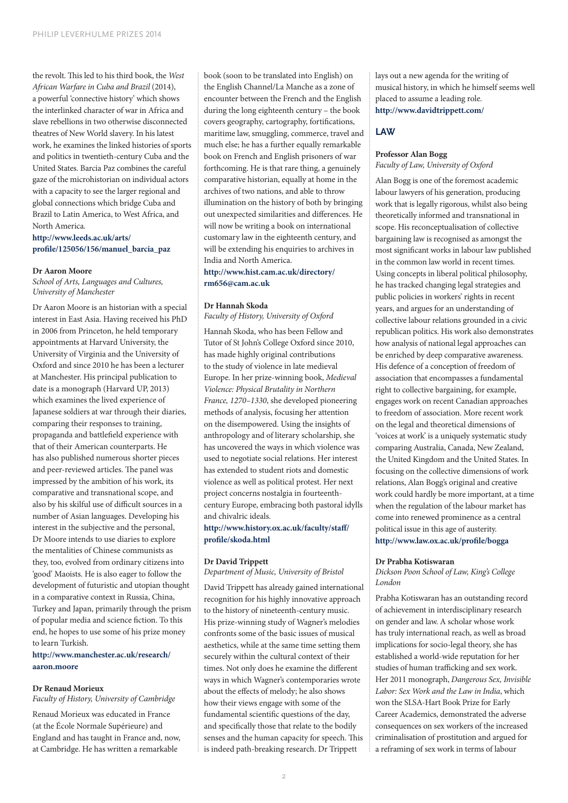the revolt. This led to his third book, the *West African Warfare in Cuba and Brazil* (2014), a powerful 'connective history' which shows the interlinked character of war in Africa and slave rebellions in two otherwise disconnected theatres of New World slavery. In his latest work, he examines the linked histories of sports and politics in twentieth-century Cuba and the United States. Barcia Paz combines the careful gaze of the microhistorian on individual actors with a capacity to see the larger regional and global connections which bridge Cuba and Brazil to Latin America, to West Africa, and North America.

## **[http://www.leeds.ac.uk/arts/](http://www.leeds.ac.uk/arts/profile/125056/156/manuel_barcia_paz) [profile/125056/156/manuel\\_barcia\\_paz](http://www.leeds.ac.uk/arts/profile/125056/156/manuel_barcia_paz)**

#### **Dr Aaron Moore**

*School of Arts, Languages and Cultures, University of Manchester*

Dr Aaron Moore is an historian with a special interest in East Asia. Having received his PhD in 2006 from Princeton, he held temporary appointments at Harvard University, the University of Virginia and the University of Oxford and since 2010 he has been a lecturer at Manchester. His principal publication to date is a monograph (Harvard UP, 2013) which examines the lived experience of Japanese soldiers at war through their diaries, comparing their responses to training, propaganda and battlefield experience with that of their American counterparts. He has also published numerous shorter pieces and peer-reviewed articles. The panel was impressed by the ambition of his work, its comparative and transnational scope, and also by his skilful use of difficult sources in a number of Asian languages. Developing his interest in the subjective and the personal, Dr Moore intends to use diaries to explore the mentalities of Chinese communists as they, too, evolved from ordinary citizens into 'good' Maoists. He is also eager to follow the development of futuristic and utopian thought in a comparative context in Russia, China, Turkey and Japan, primarily through the prism of popular media and science fiction. To this end, he hopes to use some of his prize money to learn Turkish.

#### **[http://www.manchester.ac.uk/research/](http://www.manchester.ac.uk/research/aaron.moore) [aaron.moore](http://www.manchester.ac.uk/research/aaron.moore)**

## **Dr Renaud Morieux**

*Faculty of History, University of Cambridge*

Renaud Morieux was educated in France (at the École Normale Supérieure) and England and has taught in France and, now, at Cambridge. He has written a remarkable

book (soon to be translated into English) on the English Channel/La Manche as a zone of encounter between the French and the English during the long eighteenth century – the book covers geography, cartography, fortifications, maritime law, smuggling, commerce, travel and much else; he has a further equally remarkable book on French and English prisoners of war forthcoming. He is that rare thing, a genuinely comparative historian, equally at home in the archives of two nations, and able to throw illumination on the history of both by bringing out unexpected similarities and differences. He will now be writing a book on international customary law in the eighteenth century, and will be extending his enquiries to archives in India and North America.

## **[http://www.hist.cam.ac.uk/directory/](http://www.hist.cam.ac.uk/directory/rm656@cam.ac.uk) [rm656@cam.ac.uk](http://www.hist.cam.ac.uk/directory/rm656@cam.ac.uk)**

#### **Dr Hannah Skoda**

*Faculty of History, University of Oxford*

Hannah Skoda, who has been Fellow and Tutor of St John's College Oxford since 2010, has made highly original contributions to the study of violence in late medieval Europe. In her prize-winning book, *Medieval Violence: Physical Brutality in Northern France, 1270–1330*, she developed pioneering methods of analysis, focusing her attention on the disempowered. Using the insights of anthropology and of literary scholarship, she has uncovered the ways in which violence was used to negotiate social relations. Her interest has extended to student riots and domestic violence as well as political protest. Her next project concerns nostalgia in fourteenthcentury Europe, embracing both pastoral idylls and chivalric ideals.

## **[http://www.history.ox.ac.uk/faculty/staff/](http://www.history.ox.ac.uk/faculty/staff/profile/skoda.html) [profile/skoda.html](http://www.history.ox.ac.uk/faculty/staff/profile/skoda.html)**

#### **Dr David Trippett**

*Department of Music, University of Bristol*

David Trippett has already gained international recognition for his highly innovative approach to the history of nineteenth-century music. His prize-winning study of Wagner's melodies confronts some of the basic issues of musical aesthetics, while at the same time setting them securely within the cultural context of their times. Not only does he examine the different ways in which Wagner's contemporaries wrote about the effects of melody; he also shows how their views engage with some of the fundamental scientific questions of the day, and specifically those that relate to the bodily senses and the human capacity for speech. This is indeed path-breaking research. Dr Trippett

lays out a new agenda for the writing of musical history, in which he himself seems well placed to assume a leading role. **<http://www.davidtrippett.com/>**

## **LAW**

#### **Professor Alan Bogg** *Faculty of Law, University of Oxford*

Alan Bogg is one of the foremost academic labour lawyers of his generation, producing work that is legally rigorous, whilst also being theoretically informed and transnational in scope. His reconceptualisation of collective bargaining law is recognised as amongst the most significant works in labour law published in the common law world in recent times. Using concepts in liberal political philosophy, he has tracked changing legal strategies and public policies in workers' rights in recent years, and argues for an understanding of collective labour relations grounded in a civic republican politics. His work also demonstrates how analysis of national legal approaches can be enriched by deep comparative awareness. His defence of a conception of freedom of association that encompasses a fundamental right to collective bargaining, for example, engages work on recent Canadian approaches to freedom of association. More recent work on the legal and theoretical dimensions of 'voices at work' is a uniquely systematic study comparing Australia, Canada, New Zealand, the United Kingdom and the United States. In focusing on the collective dimensions of work relations, Alan Bogg's original and creative work could hardly be more important, at a time when the regulation of the labour market has come into renewed prominence as a central political issue in this age of austerity. **<http://www.law.ox.ac.uk/profile/bogga>**

#### **Dr Prabha Kotiswaran**

*Dickson Poon School of Law, King's College London*

Prabha Kotiswaran has an outstanding record of achievement in interdisciplinary research on gender and law. A scholar whose work has truly international reach, as well as broad implications for socio-legal theory, she has established a world-wide reputation for her studies of human trafficking and sex work. Her 2011 monograph, *Dangerous Sex, Invisible Labor: Sex Work and the Law in India*, which won the SLSA-Hart Book Prize for Early Career Academics, demonstrated the adverse consequences on sex workers of the increased criminalisation of prostitution and argued for a reframing of sex work in terms of labour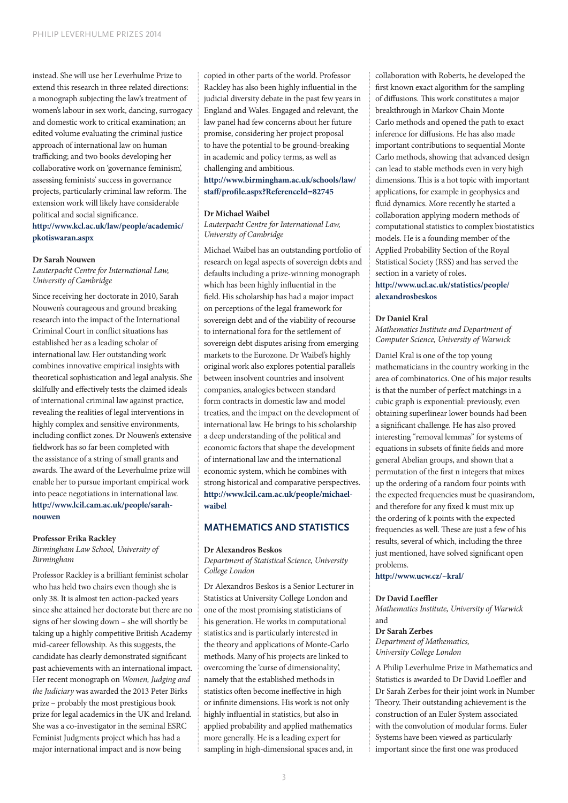instead. She will use her Leverhulme Prize to extend this research in three related directions: a monograph subjecting the law's treatment of women's labour in sex work, dancing, surrogacy and domestic work to critical examination; an edited volume evaluating the criminal justice approach of international law on human trafficking; and two books developing her collaborative work on 'governance feminism', assessing feminists' success in governance projects, particularly criminal law reform. The extension work will likely have considerable political and social significance. **[http://www.kcl.ac.uk/law/people/academic/](http://www.kcl.ac.uk/law/people/academic/pkotiswaran.aspx)**

**[pkotiswaran.aspx](http://www.kcl.ac.uk/law/people/academic/pkotiswaran.aspx)**

#### **Dr Sarah Nouwen**

*Lauterpacht Centre for International Law, University of Cambridge*

Since receiving her doctorate in 2010, Sarah Nouwen's courageous and ground breaking research into the impact of the International Criminal Court in conflict situations has established her as a leading scholar of international law. Her outstanding work combines innovative empirical insights with theoretical sophistication and legal analysis. She skilfully and effectively tests the claimed ideals of international criminal law against practice, revealing the realities of legal interventions in highly complex and sensitive environments, including conflict zones. Dr Nouwen's extensive fieldwork has so far been completed with the assistance of a string of small grants and awards. The award of the Leverhulme prize will enable her to pursue important empirical work into peace negotiations in international law. **[http://www.lcil.cam.ac.uk/people/sarah](http://www.lcil.cam.ac.uk/people/sarah-nouwen
)[nouwen](http://www.lcil.cam.ac.uk/people/sarah-nouwen
)**

#### **Professor Erika Rackley**

*Birmingham Law School, University of Birmingham*

Professor Rackley is a brilliant feminist scholar who has held two chairs even though she is only 38. It is almost ten action-packed years since she attained her doctorate but there are no signs of her slowing down – she will shortly be taking up a highly competitive British Academy mid-career fellowship. As this suggests, the candidate has clearly demonstrated significant past achievements with an international impact. Her recent monograph on *Women, Judging and the Judiciary* was awarded the 2013 Peter Birks prize – probably the most prestigious book prize for legal academics in the UK and Ireland. She was a co-investigator in the seminal ESRC Feminist Judgments project which has had a major international impact and is now being

copied in other parts of the world. Professor Rackley has also been highly influential in the judicial diversity debate in the past few years in England and Wales. Engaged and relevant, the law panel had few concerns about her future promise, considering her project proposal to have the potential to be ground-breaking in academic and policy terms, as well as challenging and ambitious.

## **[http://www.birmingham.ac.uk/schools/law/](http://www.birmingham.ac.uk/schools/law/staff/profile.aspx?ReferenceId=82745
) [staff/profile.aspx?ReferenceId=82745](http://www.birmingham.ac.uk/schools/law/staff/profile.aspx?ReferenceId=82745
)**

#### **Dr Michael Waibel**

*Lauterpacht Centre for International Law, University of Cambridge*

Michael Waibel has an outstanding portfolio of research on legal aspects of sovereign debts and defaults including a prize-winning monograph which has been highly influential in the field. His scholarship has had a major impact on perceptions of the legal framework for sovereign debt and of the viability of recourse to international fora for the settlement of sovereign debt disputes arising from emerging markets to the Eurozone. Dr Waibel's highly original work also explores potential parallels between insolvent countries and insolvent companies, analogies between standard form contracts in domestic law and model treaties, and the impact on the development of international law. He brings to his scholarship a deep understanding of the political and economic factors that shape the development of international law and the international economic system, which he combines with strong historical and comparative perspectives. **[http://www.lcil.cam.ac.uk/people/michael](http://www.lcil.cam.ac.uk/people/michael-waibel)[waibel](http://www.lcil.cam.ac.uk/people/michael-waibel)**

## **MATHEMATICS AND STATISTICS**

#### **Dr Alexandros Beskos**

*Department of Statistical Science, University College London*

Dr Alexandros Beskos is a Senior Lecturer in Statistics at University College London and one of the most promising statisticians of his generation. He works in computational statistics and is particularly interested in the theory and applications of Monte-Carlo methods. Many of his projects are linked to overcoming the 'curse of dimensionality', namely that the established methods in statistics often become ineffective in high or infinite dimensions. His work is not only highly influential in statistics, but also in applied probability and applied mathematics more generally. He is a leading expert for sampling in high-dimensional spaces and, in

collaboration with Roberts, he developed the first known exact algorithm for the sampling of diffusions. This work constitutes a major breakthrough in Markov Chain Monte Carlo methods and opened the path to exact inference for diffusions. He has also made important contributions to sequential Monte Carlo methods, showing that advanced design can lead to stable methods even in very high dimensions. This is a hot topic with important applications, for example in geophysics and fluid dynamics. More recently he started a collaboration applying modern methods of computational statistics to complex biostatistics models. He is a founding member of the Applied Probability Section of the Royal Statistical Society (RSS) and has served the section in a variety of roles.

## **[http://www.ucl.ac.uk/statistics/people/](http://www.ucl.ac.uk/statistics/people/alexandrosbeskos) [alexandrosbeskos](http://www.ucl.ac.uk/statistics/people/alexandrosbeskos)**

#### **Dr Daniel Kral**

*Mathematics Institute and Department of Computer Science, University of Warwick*

Daniel Kral is one of the top young mathematicians in the country working in the area of combinatorics. One of his major results is that the number of perfect matchings in a cubic graph is exponential: previously, even obtaining superlinear lower bounds had been a significant challenge. He has also proved interesting "removal lemmas" for systems of equations in subsets of finite fields and more general Abelian groups, and shown that a permutation of the first n integers that mixes up the ordering of a random four points with the expected frequencies must be quasirandom, and therefore for any fixed k must mix up the ordering of k points with the expected frequencies as well. These are just a few of his results, several of which, including the three just mentioned, have solved significant open problems.

## **<http://www.ucw.cz/~kral/>**

#### **Dr David Loeffler**

*Mathematics Institute, University of Warwick* and

## **Dr Sarah Zerbes**

*Department of Mathematics, University College London*

A Philip Leverhulme Prize in Mathematics and Statistics is awarded to Dr David Loeffler and Dr Sarah Zerbes for their joint work in Number Theory. Their outstanding achievement is the construction of an Euler System associated with the convolution of modular forms. Euler Systems have been viewed as particularly important since the first one was produced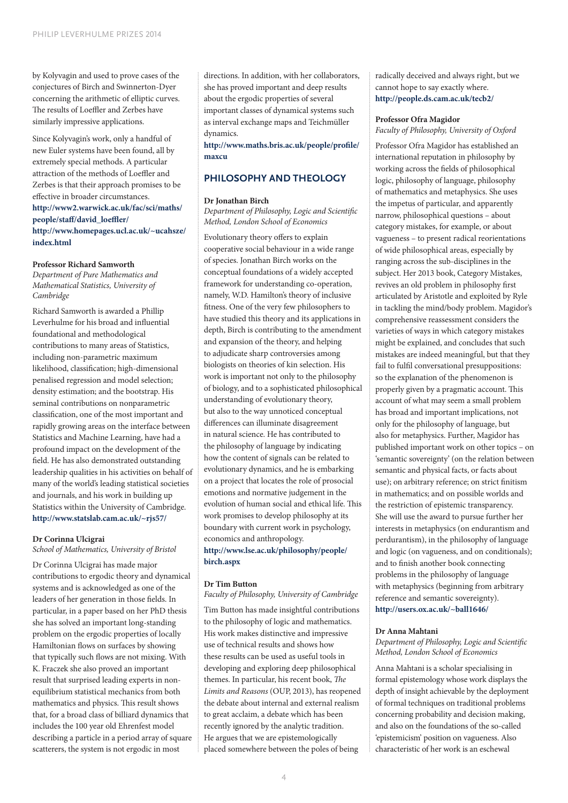by Kolyvagin and used to prove cases of the conjectures of Birch and Swinnerton-Dyer concerning the arithmetic of elliptic curves. The results of Loeffler and Zerbes have similarly impressive applications.

Since Kolyvagin's work, only a handful of new Euler systems have been found, all by extremely special methods. A particular attraction of the methods of Loeffler and Zerbes is that their approach promises to be effective in broader circumstances. **[http://www2.warwick.ac.uk/fac/sci/maths/](http://www2.warwick.ac.uk/fac/sci/maths/people/staff/david_loeffler/) [people/staff/david\\_loeffler/](http://www2.warwick.ac.uk/fac/sci/maths/people/staff/david_loeffler/) [http://www.homepages.ucl.ac.uk/~ucahsze/](http://www.homepages.ucl.ac.uk/~ucahsze/index.html) [index.html](http://www.homepages.ucl.ac.uk/~ucahsze/index.html)**

#### **Professor Richard Samworth**

*Department of Pure Mathematics and Mathematical Statistics, University of Cambridge*

Richard Samworth is awarded a Phillip Leverhulme for his broad and influential foundational and methodological contributions to many areas of Statistics, including non-parametric maximum likelihood, classification; high-dimensional penalised regression and model selection; density estimation; and the bootstrap. His seminal contributions on nonparametric classification, one of the most important and rapidly growing areas on the interface between Statistics and Machine Learning, have had a profound impact on the development of the field. He has also demonstrated outstanding leadership qualities in his activities on behalf of many of the world's leading statistical societies and journals, and his work in building up Statistics within the University of Cambridge. **<http://www.statslab.cam.ac.uk/~rjs57/>**

## **Dr Corinna Ulcigrai**

*School of Mathematics, University of Bristol*

Dr Corinna Ulcigrai has made major contributions to ergodic theory and dynamical systems and is acknowledged as one of the leaders of her generation in those fields. In particular, in a paper based on her PhD thesis she has solved an important long-standing problem on the ergodic properties of locally Hamiltonian flows on surfaces by showing that typically such flows are not mixing. With K. Fraczek she also proved an important result that surprised leading experts in nonequilibrium statistical mechanics from both mathematics and physics. This result shows that, for a broad class of billiard dynamics that includes the 100 year old Ehrenfest model describing a particle in a period array of square scatterers, the system is not ergodic in most

directions. In addition, with her collaborators, she has proved important and deep results about the ergodic properties of several important classes of dynamical systems such as interval exchange maps and Teichmüller dynamics.

**[http://www.maths.bris.ac.uk/people/profile/](http://www.maths.bris.ac.uk/people/profile/maxcu) [maxcu](http://www.maths.bris.ac.uk/people/profile/maxcu)**

## **PHILOSOPHY AND THEOLOGY**

#### **Dr Jonathan Birch**

*Department of Philosophy, Logic and Scientific Method, London School of Economics*

Evolutionary theory offers to explain cooperative social behaviour in a wide range of species. Jonathan Birch works on the conceptual foundations of a widely accepted framework for understanding co-operation, namely, W.D. Hamilton's theory of inclusive fitness. One of the very few philosophers to have studied this theory and its applications in depth, Birch is contributing to the amendment and expansion of the theory, and helping to adjudicate sharp controversies among biologists on theories of kin selection. His work is important not only to the philosophy of biology, and to a sophisticated philosophical understanding of evolutionary theory, but also to the way unnoticed conceptual differences can illuminate disagreement in natural science. He has contributed to the philosophy of language by indicating how the content of signals can be related to evolutionary dynamics, and he is embarking on a project that locates the role of prosocial emotions and normative judgement in the evolution of human social and ethical life. This work promises to develop philosophy at its boundary with current work in psychology, economics and anthropology.

## **[http://www.lse.ac.uk/philosophy/people/](http://www.lse.ac.uk/philosophy/people/birch.aspx) [birch.aspx](http://www.lse.ac.uk/philosophy/people/birch.aspx)**

## **Dr Tim Button**

#### *Faculty of Philosophy, University of Cambridge*

Tim Button has made insightful contributions to the philosophy of logic and mathematics. His work makes distinctive and impressive use of technical results and shows how these results can be used as useful tools in developing and exploring deep philosophical themes. In particular, his recent book, *The Limits and Reasons* (OUP, 2013), has reopened the debate about internal and external realism to great acclaim, a debate which has been recently ignored by the analytic tradition. He argues that we are epistemologically placed somewhere between the poles of being

radically deceived and always right, but we cannot hope to say exactly where. **<http://people.ds.cam.ac.uk/tecb2/>**

#### **Professor Ofra Magidor**

*Faculty of Philosophy, University of Oxford*

Professor Ofra Magidor has established an international reputation in philosophy by working across the fields of philosophical logic, philosophy of language, philosophy of mathematics and metaphysics. She uses the impetus of particular, and apparently narrow, philosophical questions – about category mistakes, for example, or about vagueness – to present radical reorientations of wide philosophical areas, especially by ranging across the sub-disciplines in the subject. Her 2013 book, Category Mistakes, revives an old problem in philosophy first articulated by Aristotle and exploited by Ryle in tackling the mind/body problem. Magidor's comprehensive reassessment considers the varieties of ways in which category mistakes might be explained, and concludes that such mistakes are indeed meaningful, but that they fail to fulfil conversational presuppositions: so the explanation of the phenomenon is properly given by a pragmatic account. This account of what may seem a small problem has broad and important implications, not only for the philosophy of language, but also for metaphysics. Further, Magidor has published important work on other topics – on 'semantic sovereignty' (on the relation between semantic and physical facts, or facts about use); on arbitrary reference; on strict finitism in mathematics; and on possible worlds and the restriction of epistemic transparency. She will use the award to pursue further her interests in metaphysics (on endurantism and perdurantism), in the philosophy of language and logic (on vagueness, and on conditionals); and to finish another book connecting problems in the philosophy of language with metaphysics (beginning from arbitrary reference and semantic sovereignty). **<http://users.ox.ac.uk/~ball1646/>**

#### **Dr Anna Mahtani**

#### *Department of Philosophy, Logic and Scientific Method, London School of Economics*

Anna Mahtani is a scholar specialising in formal epistemology whose work displays the depth of insight achievable by the deployment of formal techniques on traditional problems concerning probability and decision making, and also on the foundations of the so-called 'epistemicism' position on vagueness. Also characteristic of her work is an eschewal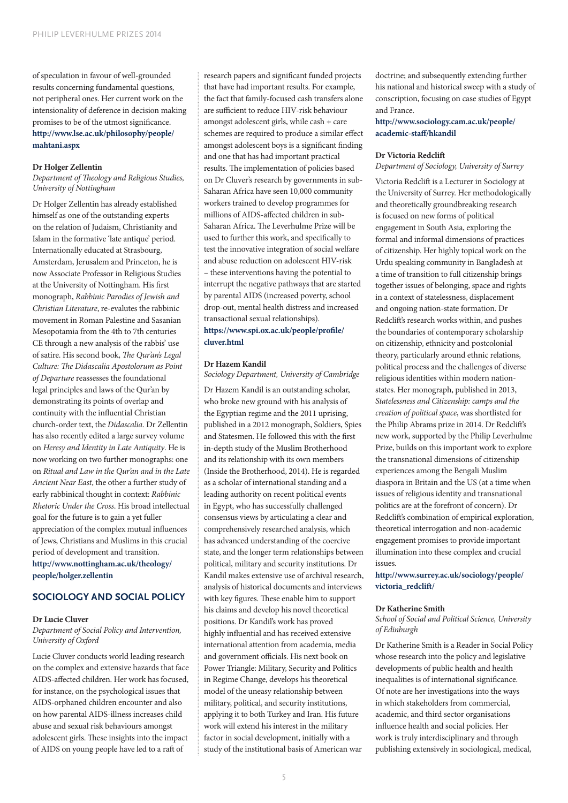of speculation in favour of well-grounded results concerning fundamental questions, not peripheral ones. Her current work on the intensionality of deference in decision making promises to be of the utmost significance. **[http://www.lse.ac.uk/philosophy/people/](http://www.lse.ac.uk/philosophy/people/mahtani.aspx) [mahtani.aspx](http://www.lse.ac.uk/philosophy/people/mahtani.aspx)**

#### **Dr Holger Zellentin**

*Department of Theology and Religious Studies, University of Nottingham*

Dr Holger Zellentin has already established himself as one of the outstanding experts on the relation of Judaism, Christianity and Islam in the formative 'late antique' period. Internationally educated at Strasbourg, Amsterdam, Jerusalem and Princeton, he is now Associate Professor in Religious Studies at the University of Nottingham. His first monograph, *Rabbinic Parodies of Jewish and Christian Literature*, re-evalutes the rabbinic movement in Roman Palestine and Sasanian Mesopotamia from the 4th to 7th centuries CE through a new analysis of the rabbis' use of satire. His second book, *The Qur'an's Legal Culture: The Didascalia Apostolorum as Point of Departure* reassesses the foundational legal principles and laws of the Qur'an by demonstrating its points of overlap and continuity with the influential Christian church-order text, the *Didascalia*. Dr Zellentin has also recently edited a large survey volume on *Heresy and Identity in Late Antiquity*. He is now working on two further monographs: one on *Ritual and Law in the Qur'an and in the Late Ancient Near East*, the other a further study of early rabbinical thought in context: *Rabbinic Rhetoric Under the Cross*. His broad intellectual goal for the future is to gain a yet fuller appreciation of the complex mutual influences of Jews, Christians and Muslims in this crucial period of development and transition.

**[http://www.nottingham.ac.uk/theology/](http://www.nottingham.ac.uk/theology/people/holger.zellentin) [people/holger.zellentin](http://www.nottingham.ac.uk/theology/people/holger.zellentin)**

## **SOCIOLOGY AND SOCIAL POLICY**

#### **Dr Lucie Cluver**

*Department of Social Policy and Intervention, University of Oxford*

Lucie Cluver conducts world leading research on the complex and extensive hazards that face AIDS-affected children. Her work has focused, for instance, on the psychological issues that AIDS-orphaned children encounter and also on how parental AIDS-illness increases child abuse and sexual risk behaviours amongst adolescent girls. These insights into the impact of AIDS on young people have led to a raft of

research papers and significant funded projects that have had important results. For example, the fact that family-focused cash transfers alone are sufficient to reduce HIV-risk behaviour amongst adolescent girls, while cash + care schemes are required to produce a similar effect amongst adolescent boys is a significant finding and one that has had important practical results. The implementation of policies based on Dr Cluver's research by governments in sub-Saharan Africa have seen 10,000 community workers trained to develop programmes for millions of AIDS-affected children in sub-Saharan Africa. The Leverhulme Prize will be used to further this work, and specifically to test the innovative integration of social welfare and abuse reduction on adolescent HIV-risk – these interventions having the potential to interrupt the negative pathways that are started by parental AIDS (increased poverty, school drop-out, mental health distress and increased transactional sexual relationships). **[https://www.spi.ox.ac.uk/people/profile/](https://www.spi.ox.ac.uk/people/profile/cluver.html) [cluver.html](https://www.spi.ox.ac.uk/people/profile/cluver.html)**

#### **Dr Hazem Kandil**

*Sociology Department, University of Cambridge*

Dr Hazem Kandil is an outstanding scholar, who broke new ground with his analysis of the Egyptian regime and the 2011 uprising, published in a 2012 monograph, Soldiers, Spies and Statesmen. He followed this with the first in-depth study of the Muslim Brotherhood and its relationship with its own members (Inside the Brotherhood, 2014). He is regarded as a scholar of international standing and a leading authority on recent political events in Egypt, who has successfully challenged consensus views by articulating a clear and comprehensively researched analysis, which has advanced understanding of the coercive state, and the longer term relationships between political, military and security institutions. Dr Kandil makes extensive use of archival research, analysis of historical documents and interviews with key figures. These enable him to support his claims and develop his novel theoretical positions. Dr Kandil's work has proved highly influential and has received extensive international attention from academia, media and government officials. His next book on Power Triangle: Military, Security and Politics in Regime Change, develops his theoretical model of the uneasy relationship between military, political, and security institutions, applying it to both Turkey and Iran. His future work will extend his interest in the military factor in social development, initially with a study of the institutional basis of American war

doctrine; and subsequently extending further his national and historical sweep with a study of conscription, focusing on case studies of Egypt and France.

**[http://www.sociology.cam.ac.uk/people/](http://www.sociology.cam.ac.uk/people/academic-staff/hkandil) [academic-staff/hkandil](http://www.sociology.cam.ac.uk/people/academic-staff/hkandil)**

#### **Dr Victoria Redclift**

*Department of Sociology, University of Surrey*

Victoria Redclift is a Lecturer in Sociology at the University of Surrey. Her methodologically and theoretically groundbreaking research is focused on new forms of political engagement in South Asia, exploring the formal and informal dimensions of practices of citizenship. Her highly topical work on the Urdu speaking community in Bangladesh at a time of transition to full citizenship brings together issues of belonging, space and rights in a context of statelessness, displacement and ongoing nation-state formation. Dr Redclift's research works within, and pushes the boundaries of contemporary scholarship on citizenship, ethnicity and postcolonial theory, particularly around ethnic relations, political process and the challenges of diverse religious identities within modern nationstates. Her monograph, published in 2013, *Statelessness and Citizenship: camps and the creation of political space*, was shortlisted for the Philip Abrams prize in 2014. Dr Redclift's new work, supported by the Philip Leverhulme Prize, builds on this important work to explore the transnational dimensions of citizenship experiences among the Bengali Muslim diaspora in Britain and the US (at a time when issues of religious identity and transnational politics are at the forefront of concern). Dr Redclift's combination of empirical exploration, theoretical interrogation and non-academic engagement promises to provide important illumination into these complex and crucial issues.

**[http://www.surrey.ac.uk/sociology/people/](http://www.surrey.ac.uk/sociology/people/victoria_redclift/) [victoria\\_redclift/](http://www.surrey.ac.uk/sociology/people/victoria_redclift/)**

#### **Dr Katherine Smith**

*School of Social and Political Science, University of Edinburgh*

Dr Katherine Smith is a Reader in Social Policy whose research into the policy and legislative developments of public health and health inequalities is of international significance. Of note are her investigations into the ways in which stakeholders from commercial, academic, and third sector organisations influence health and social policies. Her work is truly interdisciplinary and through publishing extensively in sociological, medical,